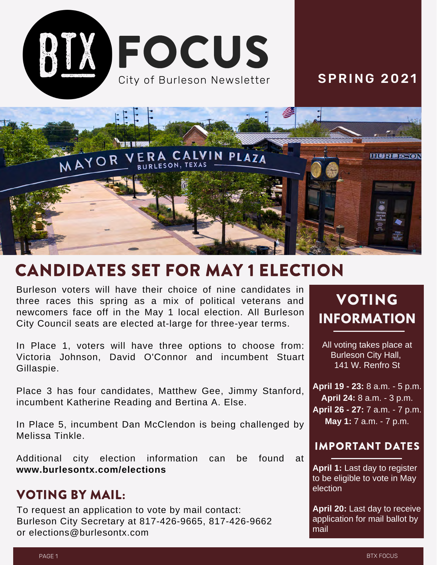

### **SPRING 2021**



# CANDIDATES SET FOR MAY 1 ELECTION

Burleson voters will have their choice of nine candidates in three races this spring as a mix of political veterans and newcomers face off in the May 1 local election. All Burleson City Council seats are elected at-large for three-year terms.

In Place 1, voters will have three options to choose from: Victoria Johnson, David O'Connor and incumbent Stuart Gillaspie.

Place 3 has four candidates, Matthew Gee, Jimmy Stanford, incumbent Katherine Reading and Bertina A. Else.

In Place 5, incumbent Dan McClendon is being challenged by Melissa Tinkle.

Additional city election information can be found at **www.burlesontx.com/elections**

#### VOTING BY MAIL:

To request an application to vote by mail contact: Burleson City Secretary at 817-426-9665, 817-426-9662 or elections@burlesontx.com

# VOTING **INFORMATION**

All voting takes place at Burleson City Hall, 141 W. Renfro St

**April 19 - 23:** 8 a.m. - 5 p.m. **April 24:** 8 a.m. - 3 p.m. **April 26 - 27:** 7 a.m. - 7 p.m. **May 1:** 7 a.m. - 7 p.m.

#### IMPORTANT DATES

**April 1:** Last day to register to be eligible to vote in May election

**April 20:** Last day to receive application for mail ballot by mail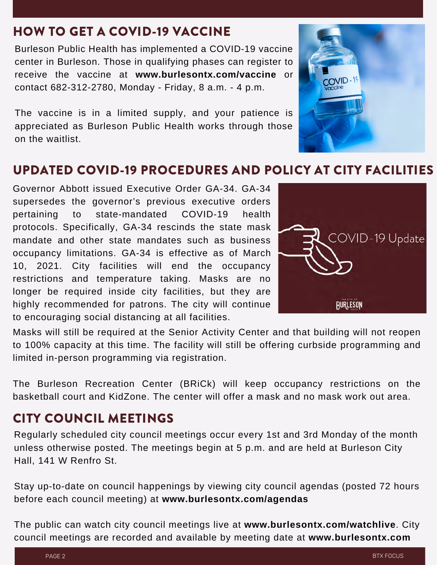## HOW TO GET A COVID-19 VACCINE

Burleson Public Health has implemented a COVID-19 vaccine center in Burleson. Those in qualifying phases can register to receive the vaccine at **www.burlesontx.com/vaccine** or contact 682-312-2780, Monday - Friday, 8 a.m. - 4 p.m.

The vaccine is in a limited supply, and your patience is appreciated as Burleson Public Health works through those on the waitlist.

## UPDATED COVID-19 PROCEDURES AND POLICY AT CITY FACILITIES

Governor Abbott issued Executive Order GA-34. GA-34 supersedes the governor's previous executive orders pertaining to state-mandated COVID-19 health protocols. Specifically, GA-34 rescinds the state mask mandate and other state mandates such as business occupancy limitations. GA-34 is effective as of March 10, 2021. City facilities will end the occupancy restrictions and temperature taking. Masks are no longer be required inside city facilities, but they are highly recommended for patrons. The city will continue to encouraging social distancing at all facilities.

Masks will still be required at the Senior Activity Center and that building will not reopen to 100% capacity at this time. The facility will still be offering curbside programming and limited in-person programming via registration.

The Burleson Recreation Center (BRiCk) will keep occupancy restrictions on the basketball court and KidZone. The center will offer a mask and no mask work out area.

## CITY COUNCIL MEETINGS

Regularly scheduled city council meetings occur every 1st and 3rd Monday of the month unless otherwise posted. The meetings begin at 5 p.m. and are held at Burleson City Hall, 141 W Renfro St.

Stay up-to-date on council happenings by viewing city council agendas (posted 72 hours before each council meeting) at **www.burlesontx.com/agendas**

The public can watch city council meetings live at **www.burlesontx.com/watchlive**. City council meetings are recorded and available by meeting date at **www.burlesontx.com**



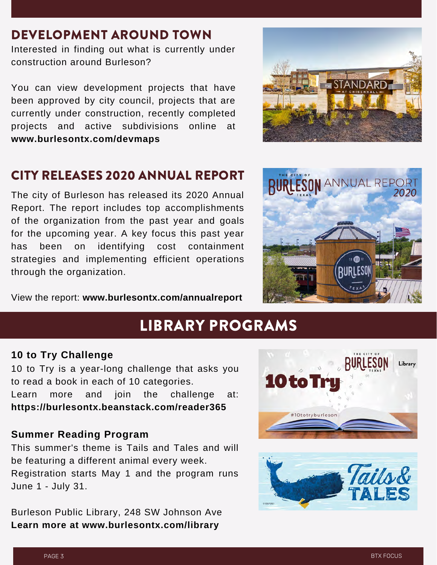### DEVELOPMENT AROUND TOWN

Interested in finding out what is currently under construction around Burleson?

You can view development projects that have been approved by city council, projects that are currently under construction, recently completed projects and active subdivisions online at **www.burlesontx.com/devmaps**



### CITY RELEASES 2020 ANNUAL REPORT

The city of Burleson has released its 2020 Annual Report. The report includes top accomplishments of the organization from the past year and goals for the upcoming year. A key focus this past year has been on identifying cost containment strategies and implementing efficient operations through the organization.



View the report: **www.burlesontx.com/annualreport**

# LIBRARY PROGRAMS

#### **10 to Try Challenge**

10 to Try is a year-long challenge that asks you to read a book in each of 10 categories. Learn more and join the challenge at: **https://burlesontx.beanstack.com/reader365**

#### **Summer Reading Program**

This summer's theme is Tails and Tales and will be featuring a different animal every week. Registration starts May 1 and the program runs June 1 - July 31.

Burleson Public Library, 248 SW Johnson Ave **Learn more at www.burlesontx.com/library**